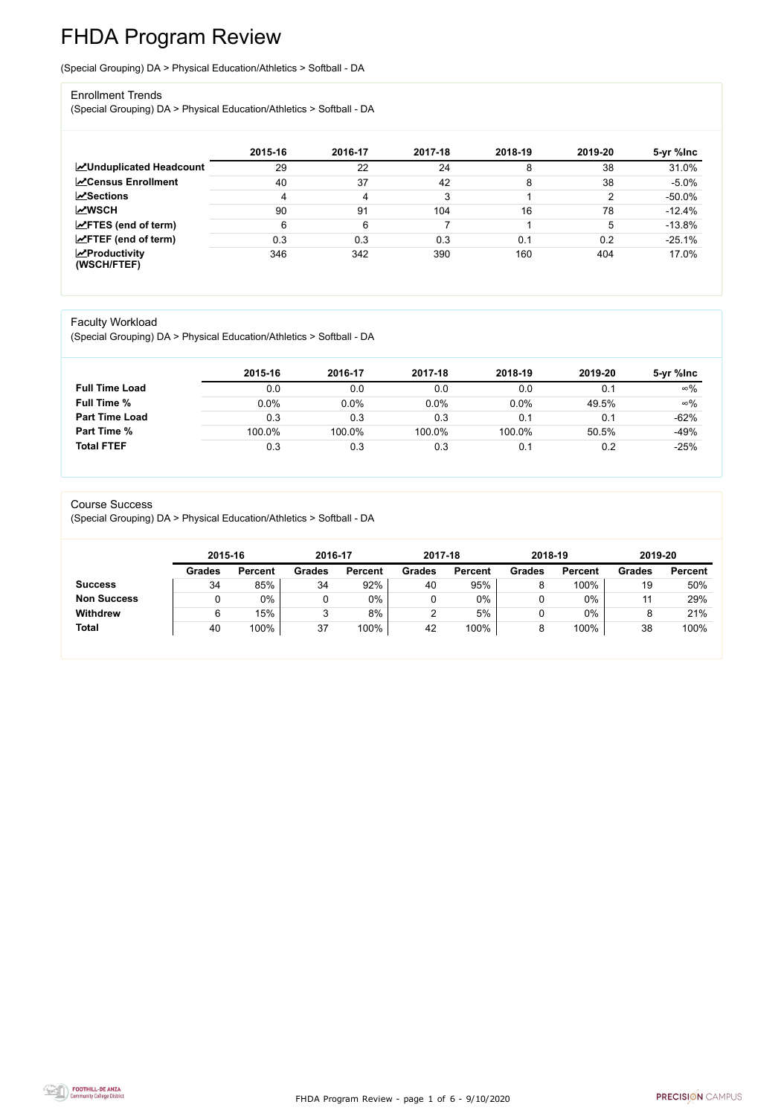FHDA Program Review - page 1 of 6 - 9/10/2020



# FHDA Program Review

(Special Grouping) DA > Physical Education/Athletics > Softball - DA

### Enrollment Trends

(Special Grouping) DA > Physical Education/Athletics > Softball - DA

|                                                  | 2015-16 | 2016-17 | 2017-18 | 2018-19 | 2019-20 | 5-yr %lnc |
|--------------------------------------------------|---------|---------|---------|---------|---------|-----------|
| <b>ZUnduplicated Headcount</b>                   | 29      | 22      | 24      |         | 38      | 31.0%     |
| <b>ZCensus Enrollment</b>                        | 40      | 37      | 42      | 8       | 38      | $-5.0%$   |
| <b>ZSections</b>                                 | 4       | 4       | 3       |         | ົ       | $-50.0\%$ |
| <b>MWSCH</b>                                     | 90      | 91      | 104     | 16      | 78      | $-12.4%$  |
| $\angle$ FTES (end of term)                      | 6       | 6       |         |         | 5       | $-13.8%$  |
| $\mathsf{Z}$ FTEF (end of term)                  | 0.3     | 0.3     | 0.3     | 0.1     | 0.2     | $-25.1%$  |
| $\sqrt{\frac{1}{2}}$ Productivity<br>(WSCH/FTEF) | 346     | 342     | 390     | 160     | 404     | 17.0%     |

## Faculty Workload

(Special Grouping) DA > Physical Education/Athletics > Softball - DA

|                       | 2015-16 | 2016-17 | 2017-18 | 2018-19 | 2019-20 | 5-yr %lnc  |
|-----------------------|---------|---------|---------|---------|---------|------------|
| <b>Full Time Load</b> | 0.0     | 0.0     | 0.0     | 0.0     | 0.1     | $\infty\%$ |
| <b>Full Time %</b>    | $0.0\%$ | 0.0%    | 0.0%    | 0.0%    | 49.5%   | $\infty\%$ |
| <b>Part Time Load</b> | 0.3     | 0.3     | 0.3     | 0.1     | 0.1     | $-62%$     |
| <b>Part Time %</b>    | 100.0%  | 100.0%  | 100.0%  | 100.0%  | 50.5%   | $-49%$     |
| <b>Total FTEF</b>     | 0.3     | 0.3     | 0.3     | 0.1     | 0.2     | $-25%$     |

#### Course Success

(Special Grouping) DA > Physical Education/Athletics > Softball - DA

|                    | 2015-16       |                | 2016-17       |                | 2017-18       |                | 2018-19       |                | 2019-20       |                |
|--------------------|---------------|----------------|---------------|----------------|---------------|----------------|---------------|----------------|---------------|----------------|
|                    | <b>Grades</b> | <b>Percent</b> | <b>Grades</b> | <b>Percent</b> | <b>Grades</b> | <b>Percent</b> | <b>Grades</b> | <b>Percent</b> | <b>Grades</b> | <b>Percent</b> |
| <b>Success</b>     | 34            | 85%            | 34            | 92%            | 40            | 95%            | O             | 100%           | 19            | 50%            |
| <b>Non Success</b> |               | 0%             |               | 0%             |               | $0\%$          |               | 0%             | 11            | 29%            |
| <b>Withdrew</b>    | 6             | 15%            |               | 8%             |               | 5%             |               | 0%             | o             | 21%            |
| <b>Total</b>       | 40            | 100%           | 37            | 100%           | 42            | 100%           | 8             | 100%           | 38            | 100%           |
|                    |               |                |               |                |               |                |               |                |               |                |

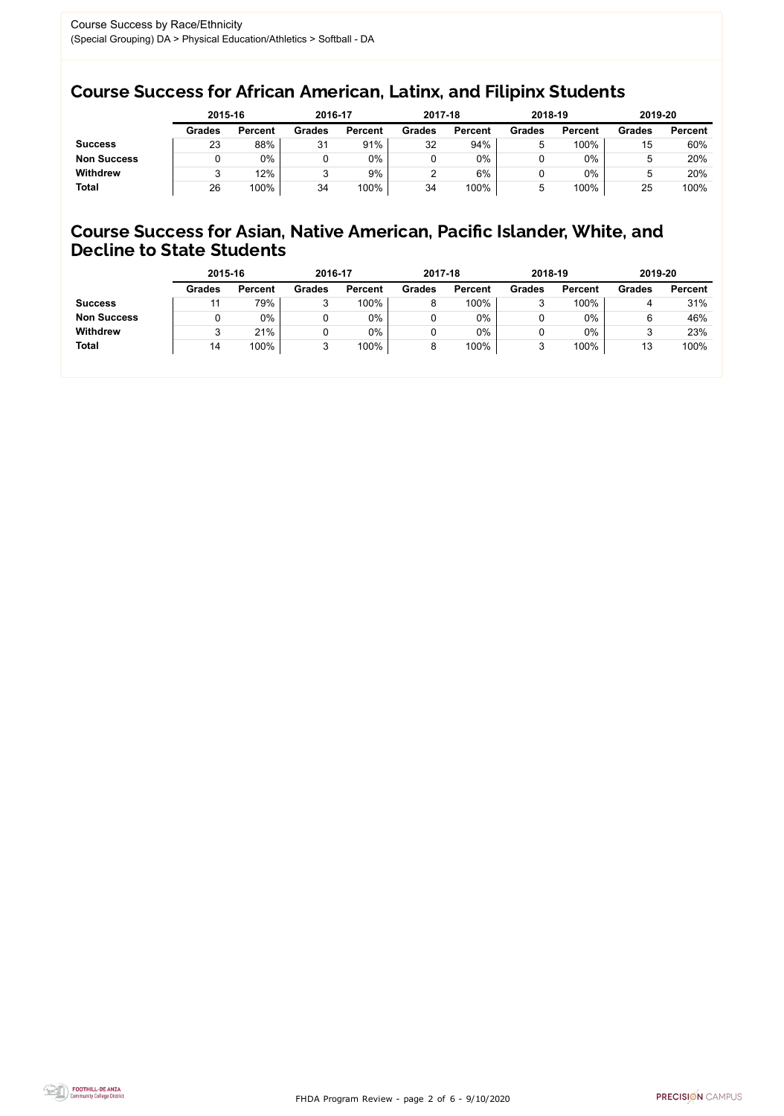FHDA Program Review - page 2 of 6 - 9/10/2020



## Course Success for African American, Latinx, and Filipinx Students

## Course Success for Asian, Native American, Pacific Islander, White, and Decline to State Students

|                    | 2015-16       |                | 2016-17       |                | 2017-18       |                | 2018-19       |                | 2019-20       |                |
|--------------------|---------------|----------------|---------------|----------------|---------------|----------------|---------------|----------------|---------------|----------------|
|                    | <b>Grades</b> | <b>Percent</b> | <b>Grades</b> | <b>Percent</b> | <b>Grades</b> | <b>Percent</b> | <b>Grades</b> | <b>Percent</b> | <b>Grades</b> | <b>Percent</b> |
| <b>Success</b>     | 23            | 88%            | 31            | 91%            | 32            | 94%            | ხ             | 100%           | 15            | 60%            |
| <b>Non Success</b> |               | $0\%$          |               | $0\%$          |               | $0\%$          |               | 0%             | ა             | 20%            |
| <b>Withdrew</b>    |               | 12%            | ື             | 9%             |               | 6%             |               | 0%             | ხ             | 20%            |
| <b>Total</b>       | 26            | 100%           | 34            | 100%           | 34            | 100%           | b             | 100%           | 25            | 100%           |

|                    | 2015-16       |                | 2016-17       |                | 2017-18       |                | 2018-19       |                | 2019-20       |                |
|--------------------|---------------|----------------|---------------|----------------|---------------|----------------|---------------|----------------|---------------|----------------|
|                    | <b>Grades</b> | <b>Percent</b> | <b>Grades</b> | <b>Percent</b> | <b>Grades</b> | <b>Percent</b> | <b>Grades</b> | <b>Percent</b> | <b>Grades</b> | <b>Percent</b> |
| <b>Success</b>     | -11           | 79%            | ◠<br>ິ        | 100%           | 8             | 100%           | ◠             | 100%           |               | 31%            |
| <b>Non Success</b> |               | $0\%$          |               | 0%             |               | 0%             |               | 0%             | 6             | 46%            |
| <b>Withdrew</b>    |               | 21%            |               | 0%             |               | 0%             |               | 0%             |               | 23%            |
| <b>Total</b>       | 14            | 100%           | ບ             | 100%           | 8             | 100%           | 3             | 100%           | 13            | 100%           |
|                    |               |                |               |                |               |                |               |                |               |                |

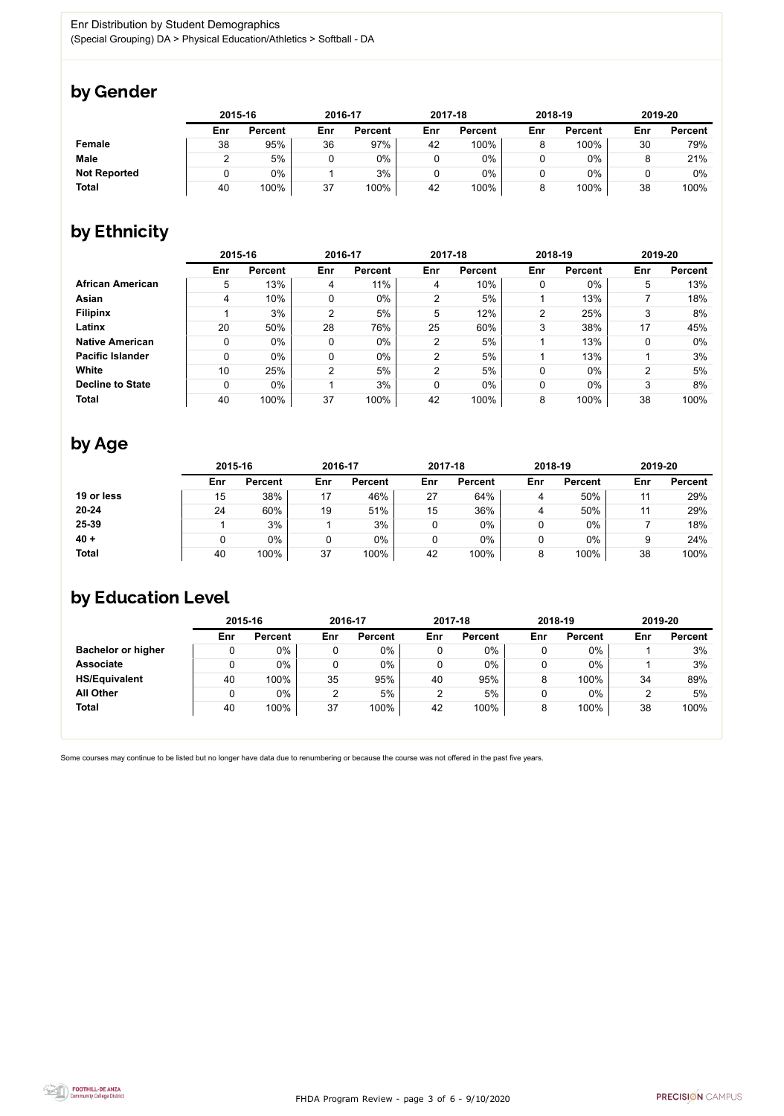

Some courses may continue to be listed but no longer have data due to renumbering or because the course was not offered in the past five years.



## by Gender

|                     |     | 2015-16        |     | 2016-17        |     | 2017-18        | 2018-19 |                | 2019-20 |                |
|---------------------|-----|----------------|-----|----------------|-----|----------------|---------|----------------|---------|----------------|
|                     | Enr | <b>Percent</b> | Enr | <b>Percent</b> | Enr | <b>Percent</b> | Enr     | <b>Percent</b> | Enr     | <b>Percent</b> |
| <b>Female</b>       | 38  | 95%            | 36  | 97%            | 42  | 100%           |         | 100%           | 30      | 79%            |
| <b>Male</b>         |     | 5%             |     | 0%             |     | 0%             |         | $0\%$          |         | 21%            |
| <b>Not Reported</b> |     | $0\%$          |     | 3%             |     | 0%             |         | $0\%$          |         | 0%             |
| <b>Total</b>        | 40  | 100%           | 37  | 100%           | 42  | 100%           |         | 100%           | 38      | 100%           |

## by Ethnicity

|                         | 2015-16 |                |                | 2016-17        |                | 2017-18        |                | 2018-19        |     | 2019-20        |
|-------------------------|---------|----------------|----------------|----------------|----------------|----------------|----------------|----------------|-----|----------------|
|                         | Enr     | <b>Percent</b> | Enr            | <b>Percent</b> | Enr            | <b>Percent</b> | Enr            | <b>Percent</b> | Enr | <b>Percent</b> |
| <b>African American</b> | 5       | 13%            | 4              | 11%            | 4              | 10%            | 0              | $0\%$          | 5   | 13%            |
| <b>Asian</b>            | 4       | 10%            | 0              | $0\%$          | 2              | 5%             |                | 13%            |     | 18%            |
| <b>Filipinx</b>         |         | 3%             | $\overline{2}$ | 5%             | 5              | 12%            | $\overline{2}$ | 25%            | 3   | 8%             |
| Latinx                  | 20      | 50%            | 28             | 76%            | 25             | 60%            | 3              | 38%            | 17  | 45%            |
| <b>Native American</b>  | 0       | $0\%$          | 0              | $0\%$          | $\overline{2}$ | 5%             |                | 13%            | 0   | $0\%$          |
| <b>Pacific Islander</b> | 0       | $0\%$          | 0              | 0%             | 2              | 5%             |                | 13%            |     | 3%             |
| White                   | 10      | 25%            | $\overline{2}$ | 5%             | $\overline{2}$ | 5%             | 0              | $0\%$          | າ   | 5%             |
| <b>Decline to State</b> | 0       | $0\%$          |                | 3%             | 0              | $0\%$          | 0              | $0\%$          | 3   | 8%             |
| <b>Total</b>            | 40      | 100%           | 37             | 100%           | 42             | 100%           | 8              | 100%           | 38  | 100%           |

# by Age

|              | 2015-16 |                |     | 2016-17        |     | 2017-18        |     | 2018-19        | 2019-20 |                |
|--------------|---------|----------------|-----|----------------|-----|----------------|-----|----------------|---------|----------------|
|              | Enr     | <b>Percent</b> | Enr | <b>Percent</b> | Enr | <b>Percent</b> | Enr | <b>Percent</b> | Enr     | <b>Percent</b> |
| 19 or less   | 15      | 38%            | 17  | 46%            | 27  | 64%            | 4   | 50%            |         | 29%            |
| $20 - 24$    | 24      | 60%            | 19  | 51%            | 15  | 36%            | 4   | 50%            |         | 29%            |
| 25-39        |         | 3%             |     | 3%             |     | 0%             | 0   | $0\%$          |         | 18%            |
| $40 +$       |         | $0\%$          |     | 0%             |     | $0\%$          | U   | $0\%$          |         | 24%            |
| <b>Total</b> | 40      | 100%           | 37  | 100%           | 42  | 100%           | 8   | 100%           | 38      | 100%           |

# by Education Level

|                           | 2015-16 |                |     | 2016-17        |     | 2017-18        |     | 2018-19        | 2019-20 |                |
|---------------------------|---------|----------------|-----|----------------|-----|----------------|-----|----------------|---------|----------------|
|                           | Enr     | <b>Percent</b> | Enr | <b>Percent</b> | Enr | <b>Percent</b> | Enr | <b>Percent</b> | Enr     | <b>Percent</b> |
| <b>Bachelor or higher</b> | υ       | $0\%$          |     | $0\%$          |     | 0%             |     | $0\%$          |         | 3%             |
| <b>Associate</b>          | υ       | $0\%$          |     | 0%             | 0   | 0%             |     | $0\%$          |         | 3%             |
| <b>HS/Equivalent</b>      | 40      | 100%           | 35  | 95%            | 40  | 95%            |     | 100%           | 34      | 89%            |
| <b>All Other</b>          | υ       | $0\%$          | 2   | 5%             |     | 5%             |     | $0\%$          |         | 5%             |
| <b>Total</b>              | 40      | 100%           | 37  | 100%           | 42  | 100%           |     | 100%           | 38      | 100%           |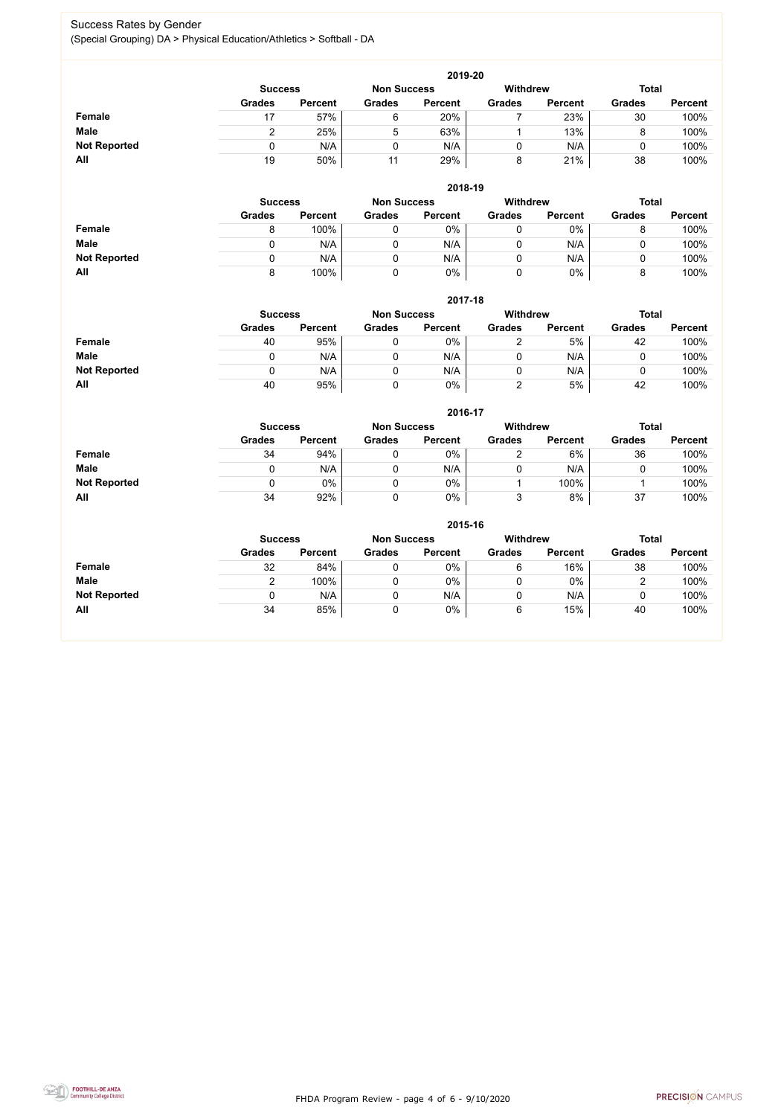FHDA Program Review - page 4 of 6 - 9/10/2020



## Success Rates by Gender (Special Grouping) DA > Physical Education/Athletics > Softball - DA

|                     | 2019-20       |                                      |               |                |               |                 |               |                |  |  |  |  |
|---------------------|---------------|--------------------------------------|---------------|----------------|---------------|-----------------|---------------|----------------|--|--|--|--|
|                     |               | <b>Non Success</b><br><b>Success</b> |               |                |               | <b>Withdrew</b> | <b>Total</b>  |                |  |  |  |  |
|                     | <b>Grades</b> | <b>Percent</b>                       | <b>Grades</b> | <b>Percent</b> | <b>Grades</b> | <b>Percent</b>  | <b>Grades</b> | <b>Percent</b> |  |  |  |  |
| <b>Female</b>       |               | 57%                                  | 6             | 20%            |               | 23%             | 30            | 100%           |  |  |  |  |
| <b>Male</b>         |               | 25%                                  | 5             | 63%            |               | 13%             |               | 100%           |  |  |  |  |
| <b>Not Reported</b> |               | N/A                                  | 0             | N/A            |               | N/A             |               | 100%           |  |  |  |  |
| All                 | 19            | 50%                                  | 11            | 29%            | o             | 21%             | 38            | 100%           |  |  |  |  |

|                     |                | 2018-19        |                    |                 |               |                |               |                |  |  |  |  |  |  |
|---------------------|----------------|----------------|--------------------|-----------------|---------------|----------------|---------------|----------------|--|--|--|--|--|--|
|                     | <b>Success</b> |                | <b>Non Success</b> | <b>Withdrew</b> |               |                | <b>Total</b>  |                |  |  |  |  |  |  |
|                     | <b>Grades</b>  | <b>Percent</b> | <b>Grades</b>      | <b>Percent</b>  | <b>Grades</b> | <b>Percent</b> | <b>Grades</b> | <b>Percent</b> |  |  |  |  |  |  |
| <b>Female</b>       | 8              | 100%           |                    | 0%              | U             | $0\%$          |               | 100%           |  |  |  |  |  |  |
| <b>Male</b>         | 0              | N/A            |                    | N/A             | 0             | N/A            |               | 100%           |  |  |  |  |  |  |
| <b>Not Reported</b> |                | N/A            |                    | N/A             | U             | N/A            |               | 100%           |  |  |  |  |  |  |
| All                 | 8              | 100%           |                    | 0%              | υ             | 0%             |               | 100%           |  |  |  |  |  |  |

|                     | 2017-18                              |                |               |                |                 |                |               |                |  |  |  |  |  |
|---------------------|--------------------------------------|----------------|---------------|----------------|-----------------|----------------|---------------|----------------|--|--|--|--|--|
|                     | <b>Non Success</b><br><b>Success</b> |                |               |                | <b>Withdrew</b> |                | <b>Total</b>  |                |  |  |  |  |  |
|                     | <b>Grades</b>                        | <b>Percent</b> | <b>Grades</b> | <b>Percent</b> | <b>Grades</b>   | <b>Percent</b> | <b>Grades</b> | <b>Percent</b> |  |  |  |  |  |
| <b>Female</b>       | 40                                   | 95%            | 0             | 0%             |                 | 5%             | 42            | 100%           |  |  |  |  |  |
| <b>Male</b>         |                                      | N/A            | 0             | N/A            | 0               | N/A            | ν             | 100%           |  |  |  |  |  |
| <b>Not Reported</b> |                                      | N/A            | 0             | N/A            |                 | N/A            | u             | 100%           |  |  |  |  |  |
| All                 | 40                                   | 95%            | 0             | 0%             |                 | 5%             | 42            | 100%           |  |  |  |  |  |

|                     |               | 2016-17                                                 |               |                |               |                |               |                |  |  |
|---------------------|---------------|---------------------------------------------------------|---------------|----------------|---------------|----------------|---------------|----------------|--|--|
|                     |               | <b>Withdrew</b><br><b>Non Success</b><br><b>Success</b> |               |                |               |                |               | <b>Total</b>   |  |  |
|                     | <b>Grades</b> | <b>Percent</b>                                          | <b>Grades</b> | <b>Percent</b> | <b>Grades</b> | <b>Percent</b> | <b>Grades</b> | <b>Percent</b> |  |  |
| <b>Female</b>       | 34            | 94%                                                     |               | 0%             |               | 6%             | 36            | 100%           |  |  |
| <b>Male</b>         |               | N/A                                                     |               | N/A            | U             | N/A            |               | 100%           |  |  |
| <b>Not Reported</b> | 0             | $0\%$                                                   |               | $0\%$          |               | 100%           |               | 100%           |  |  |
| All                 | 34            | 92%                                                     |               | 0%             | າ             | 8%             | 37            | 100%           |  |  |

|                     | 2015-16                                                          |                |               |                |               |                |               |                |  |
|---------------------|------------------------------------------------------------------|----------------|---------------|----------------|---------------|----------------|---------------|----------------|--|
|                     | Withdrew<br><b>Total</b><br><b>Non Success</b><br><b>Success</b> |                |               |                |               |                |               |                |  |
|                     | <b>Grades</b>                                                    | <b>Percent</b> | <b>Grades</b> | <b>Percent</b> | <b>Grades</b> | <b>Percent</b> | <b>Grades</b> | <b>Percent</b> |  |
| <b>Female</b>       | 32                                                               | 84%            | 0             | 0%             | 6             | 16%            | 38            | 100%           |  |
| <b>Male</b>         |                                                                  | 100%           | 0             | 0%             | 0             | $0\%$          | ◠<br>▃        | 100%           |  |
| <b>Not Reported</b> |                                                                  | N/A            | 0             | N/A            | 0             | N/A            | ν             | 100%           |  |
| All                 | 34                                                               | 85%            | 0             | 0%             | 6             | 15%            | 40            | 100%           |  |

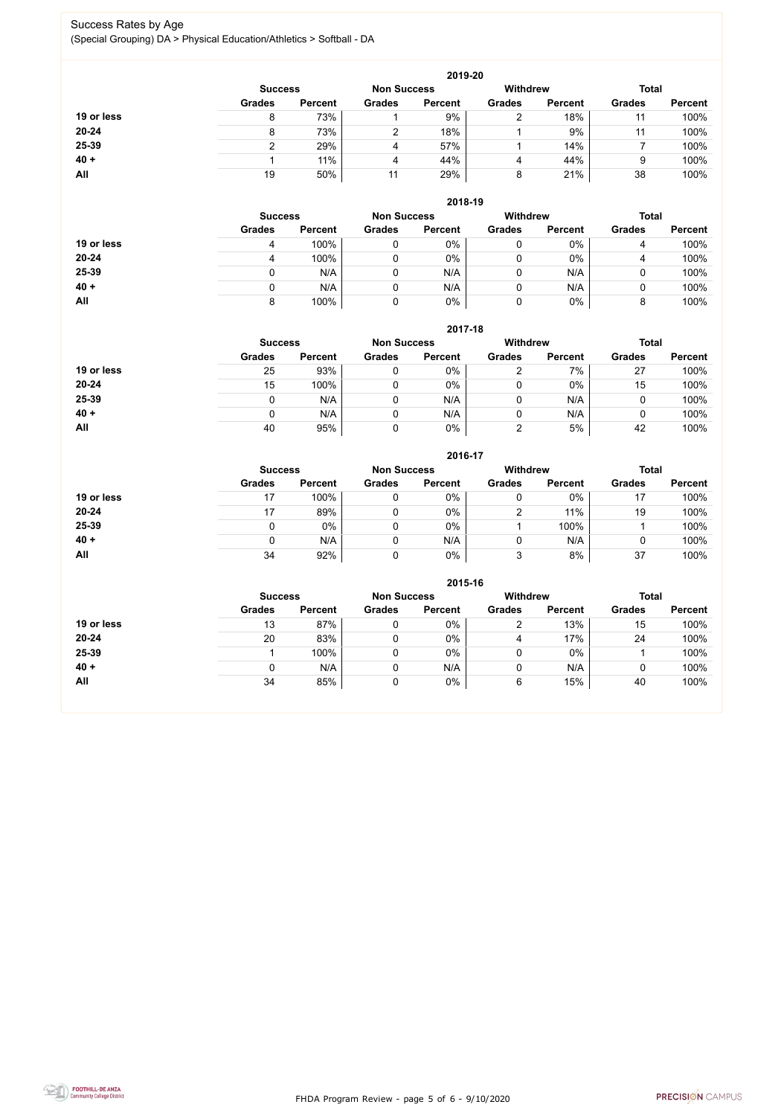FHDA Program Review - page 5 of 6 - 9/10/2020



## Success Rates by Age (Special Grouping) DA > Physical Education/Athletics > Softball - DA

|            |                |                    |               | 2019-20         |               |                |               |                |
|------------|----------------|--------------------|---------------|-----------------|---------------|----------------|---------------|----------------|
|            | <b>Success</b> | <b>Non Success</b> |               | <b>Withdrew</b> |               | <b>Total</b>   |               |                |
|            | <b>Grades</b>  | <b>Percent</b>     | <b>Grades</b> | <b>Percent</b>  | <b>Grades</b> | <b>Percent</b> | <b>Grades</b> | <b>Percent</b> |
| 19 or less | 8              | 73%                |               | 9%              | າ             | 18%            | 11            | 100%           |
| 20-24      | 8              | 73%                |               | 18%             |               | 9%             | 11            | 100%           |
| 25-39      |                | 29%                | 4             | 57%             |               | 14%            |               | 100%           |
| $40 +$     |                | 11%                | 4             | 44%             | 4             | 44%            | 9             | 100%           |
| All        | 19             | 50%                | 11            | 29%             | 8             | 21%            | 38            | 100%           |

|            |                |                |                    | 2018-19        |                 |                |               |                |
|------------|----------------|----------------|--------------------|----------------|-----------------|----------------|---------------|----------------|
|            | <b>Success</b> |                | <b>Non Success</b> |                | <b>Withdrew</b> | <b>Total</b>   |               |                |
|            | <b>Grades</b>  | <b>Percent</b> | <b>Grades</b>      | <b>Percent</b> | <b>Grades</b>   | <b>Percent</b> | <b>Grades</b> | <b>Percent</b> |
| 19 or less | 4              | 100%           |                    | $0\%$          | 0               | 0%             | 4             | 100%           |
| $20 - 24$  | 4              | 100%           |                    | $0\%$          | 0               | $0\%$          | 4             | 100%           |
| 25-39      | 0              | N/A            |                    | N/A            | 0               | N/A            |               | 100%           |
| $40 +$     |                | N/A            |                    | N/A            | 0               | N/A            | U             | 100%           |
| All        | 8              | 100%           |                    | $0\%$          | 0               | 0%             |               | 100%           |

#### **2017-18**

|            |                |                    |               | 2017-18         |               |                |               |                |
|------------|----------------|--------------------|---------------|-----------------|---------------|----------------|---------------|----------------|
|            | <b>Success</b> | <b>Non Success</b> |               | <b>Withdrew</b> |               | <b>Total</b>   |               |                |
|            | <b>Grades</b>  | <b>Percent</b>     | <b>Grades</b> | <b>Percent</b>  | <b>Grades</b> | <b>Percent</b> | <b>Grades</b> | <b>Percent</b> |
| 19 or less | 25             | 93%                |               | 0%              | ⌒             | 7%             | 27            | 100%           |
| $20 - 24$  | 15             | 100%               |               | 0%              |               | $0\%$          | 15            | 100%           |
| 25-39      |                | N/A                |               | N/A             |               | N/A            |               | 100%           |
| $40 +$     |                | N/A                |               | N/A             |               | N/A            |               | 100%           |
| All        | 40             | 95%                |               | 0%              | າ             | 5%             | 42            | 100%           |

### **2016-17**



|            |                |                    |               | ZU10-17         |               |                |               |                |
|------------|----------------|--------------------|---------------|-----------------|---------------|----------------|---------------|----------------|
|            | <b>Success</b> | <b>Non Success</b> |               | <b>Withdrew</b> |               | <b>Total</b>   |               |                |
|            | <b>Grades</b>  | <b>Percent</b>     | <b>Grades</b> | <b>Percent</b>  | <b>Grades</b> | <b>Percent</b> | <b>Grades</b> | <b>Percent</b> |
| 19 or less | 17             | 100%               |               | 0%              |               | $0\%$          |               | 100%           |
| $20 - 24$  | 17             | 89%                |               | 0%              | າ             | 11%            | 19            | 100%           |
| 25-39      | 0              | $0\%$              |               | $0\%$           |               | 100%           |               | 100%           |
| $40 +$     |                | N/A                |               | N/A             |               | N/A            |               | 100%           |
| All        | 34             | 92%                |               | 0%              | 3             | 8%             | 37            | 100%           |

|            |                                                         |                |               | 2015-16        |               |                |               |                |
|------------|---------------------------------------------------------|----------------|---------------|----------------|---------------|----------------|---------------|----------------|
|            | <b>Withdrew</b><br><b>Non Success</b><br><b>Success</b> |                |               |                |               |                | <b>Total</b>  |                |
|            | <b>Grades</b>                                           | <b>Percent</b> | <b>Grades</b> | <b>Percent</b> | <b>Grades</b> | <b>Percent</b> | <b>Grades</b> | <b>Percent</b> |
| 19 or less | 13                                                      | 87%            |               | $0\%$          | っ<br>∠        | 13%            | 15            | 100%           |
| 20-24      | 20                                                      | 83%            |               | $0\%$          | 4             | 17%            | 24            | 100%           |
| 25-39      |                                                         | 100%           |               | $0\%$          |               | $0\%$          |               | 100%           |
| $40 +$     | 0                                                       | N/A            |               | N/A            |               | N/A            |               | 100%           |
| <b>All</b> | 34                                                      | 85%            | 0             | $0\%$          | 6             | 15%            | 40            | 100%           |